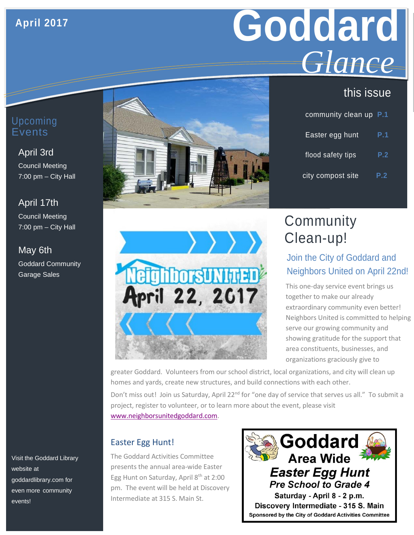### **April 2017**

# **Goddard** *Glance*

### this issue

| community clean up P.1 |     |
|------------------------|-----|
| Easter egg hunt        | P.1 |
| flood safety tips      | P.2 |
| city compost site      | P.2 |

### Upcoming Events

## April 3rd

Council Meeting 7:00 pm – City Hall

### April 17th

Council Meeting 7:00 pm – City Hall

### May 6th Goddard Community

Garage Sales

Visit the Goddard Library website at goddardlibrary.com for even more community events!





### **Community** Clean-up!

### Join the City of Goddard and Neighbors United on April 22nd!

This one-day service event brings us together to make our already extraordinary community even better! Neighbors United is committed to helping serve our growing community and showing gratitude for the support that area constituents, businesses, and organizations graciously give to

greater Goddard. Volunteers from our school district, local organizations, and city will clean up homes and yards, create new structures, and build connections with each other.

Don't miss out! Join us Saturday, April 22<sup>nd</sup> for "one day of service that serves us all." To submit a project, register to volunteer, or to learn more about the event, please visit [www.neighborsunitedgoddard.com.](http://www.neighborsunitedgoddard.com/)

### Easter Egg Hunt!

The Goddard Activities Committee presents the annual area-wide Easter Egg Hunt on Saturday, April 8<sup>th</sup> at 2:00 pm. The event will be held at Discovery Intermediate at 315 S. Main St.